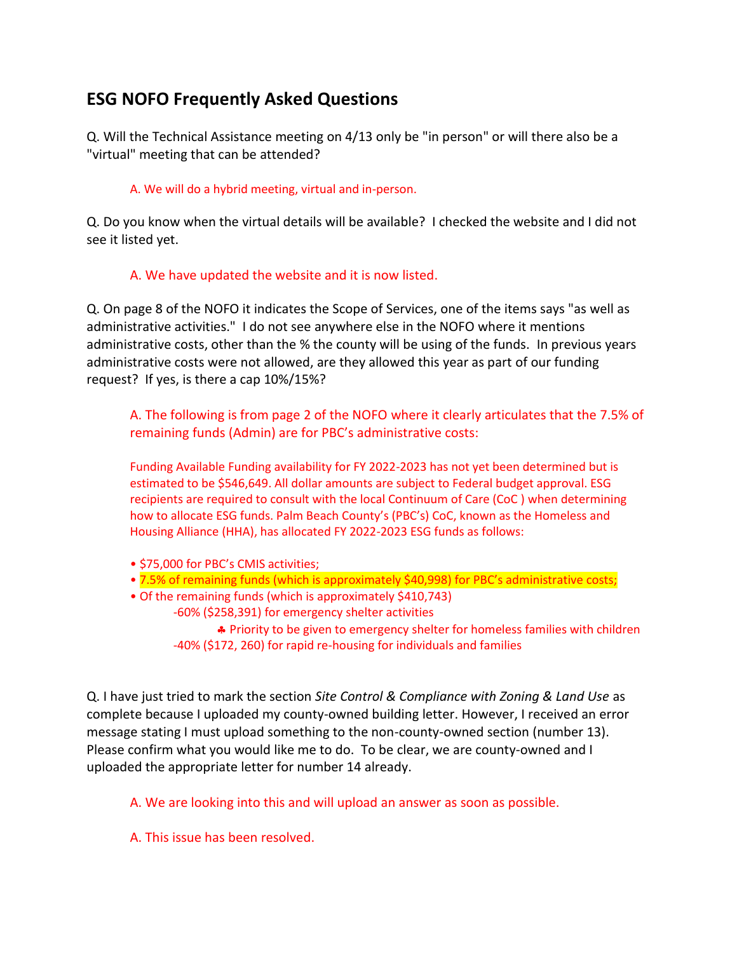# **ESG NOFO Frequently Asked Questions**

Q. Will the Technical Assistance meeting on 4/13 only be "in person" or will there also be a "virtual" meeting that can be attended?

### A. We will do a hybrid meeting, virtual and in-person.

Q. Do you know when the virtual details will be available? I checked the website and I did not see it listed yet.

## A. We have updated the website and it is now listed.

Q. On page 8 of the NOFO it indicates the Scope of Services, one of the items says "as well as administrative activities." I do not see anywhere else in the NOFO where it mentions administrative costs, other than the % the county will be using of the funds. In previous years administrative costs were not allowed, are they allowed this year as part of our funding request? If yes, is there a cap 10%/15%?

A. The following is from page 2 of the NOFO where it clearly articulates that the 7.5% of remaining funds (Admin) are for PBC's administrative costs:

Funding Available Funding availability for FY 2022-2023 has not yet been determined but is estimated to be \$546,649. All dollar amounts are subject to Federal budget approval. ESG recipients are required to consult with the local Continuum of Care (CoC ) when determining how to allocate ESG funds. Palm Beach County's (PBC's) CoC, known as the Homeless and Housing Alliance (HHA), has allocated FY 2022-2023 ESG funds as follows:

- \$75,000 for PBC's CMIS activities;
- 7.5% of remaining funds (which is approximately \$40,998) for PBC's administrative costs;
- Of the remaining funds (which is approximately \$410,743)
	- -60% (\$258,391) for emergency shelter activities

\* Priority to be given to emergency shelter for homeless families with children -40% (\$172, 260) for rapid re-housing for individuals and families

Q. I have just tried to mark the section *Site Control & Compliance with Zoning & Land Use* as complete because I uploaded my county-owned building letter. However, I received an error message stating I must upload something to the non-county-owned section (number 13). Please confirm what you would like me to do. To be clear, we are county-owned and I uploaded the appropriate letter for number 14 already.

A. We are looking into this and will upload an answer as soon as possible.

A. This issue has been resolved.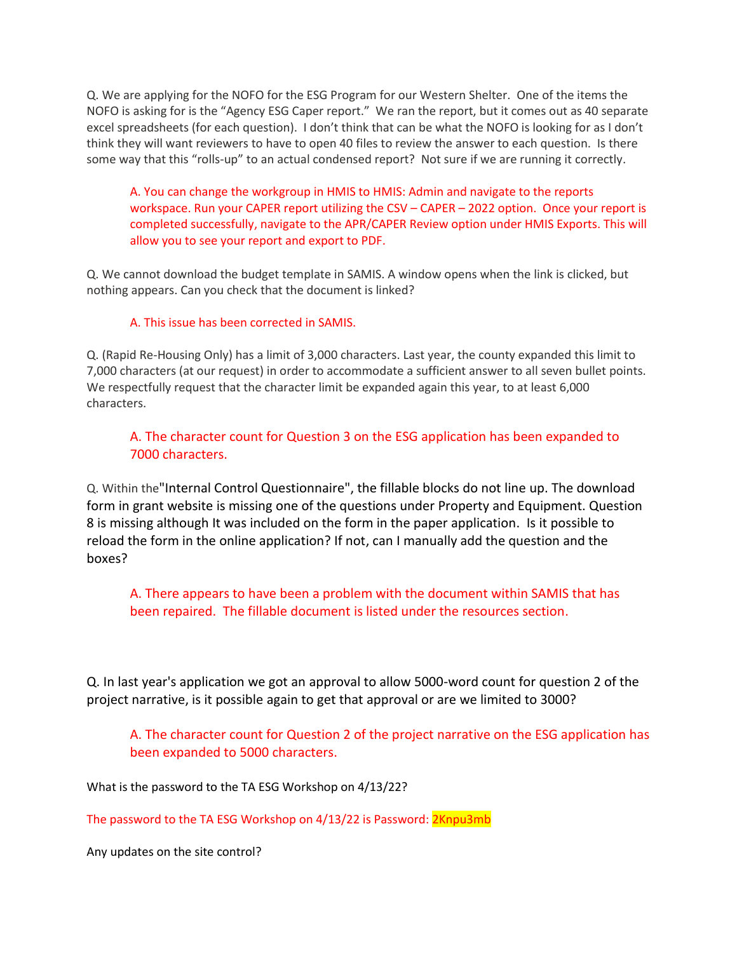Q. We are applying for the NOFO for the ESG Program for our Western Shelter. One of the items the NOFO is asking for is the "Agency ESG Caper report." We ran the report, but it comes out as 40 separate excel spreadsheets (for each question). I don't think that can be what the NOFO is looking for as I don't think they will want reviewers to have to open 40 files to review the answer to each question. Is there some way that this "rolls-up" to an actual condensed report? Not sure if we are running it correctly.

A. You can change the workgroup in HMIS to HMIS: Admin and navigate to the reports workspace. Run your CAPER report utilizing the CSV – CAPER – 2022 option. Once your report is completed successfully, navigate to the APR/CAPER Review option under HMIS Exports. This will allow you to see your report and export to PDF.

Q. We cannot download the budget template in SAMIS. A window opens when the link is clicked, but nothing appears. Can you check that the document is linked?

#### A. This issue has been corrected in SAMIS.

Q. (Rapid Re-Housing Only) has a limit of 3,000 characters. Last year, the county expanded this limit to 7,000 characters (at our request) in order to accommodate a sufficient answer to all seven bullet points. We respectfully request that the character limit be expanded again this year, to at least 6,000 characters.

## A. The character count for Question 3 on the ESG application has been expanded to 7000 characters.

Q. Within the"Internal Control Questionnaire", the fillable blocks do not line up. The download form in grant website is missing one of the questions under Property and Equipment. Question 8 is missing although It was included on the form in the paper application. Is it possible to reload the form in the online application? If not, can I manually add the question and the boxes?

A. There appears to have been a problem with the document within SAMIS that has been repaired. The fillable document is listed under the resources section.

Q. In last year's application we got an approval to allow 5000-word count for question 2 of the project narrative, is it possible again to get that approval or are we limited to 3000?

## A. The character count for Question 2 of the project narrative on the ESG application has been expanded to 5000 characters.

What is the password to the TA ESG Workshop on 4/13/22?

The password to the TA ESG Workshop on 4/13/22 is Password: 2Knpu3mb

Any updates on the site control?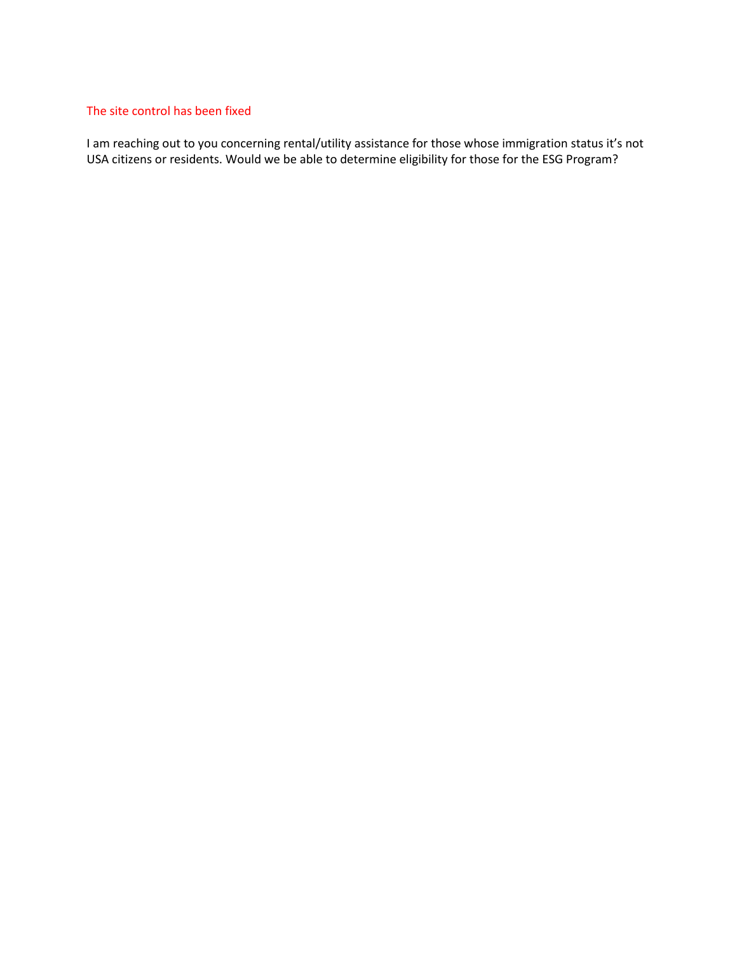#### The site control has been fixed

I am reaching out to you concerning rental/utility assistance for those whose immigration status it's not USA citizens or residents. Would we be able to determine eligibility for those for the ESG Program?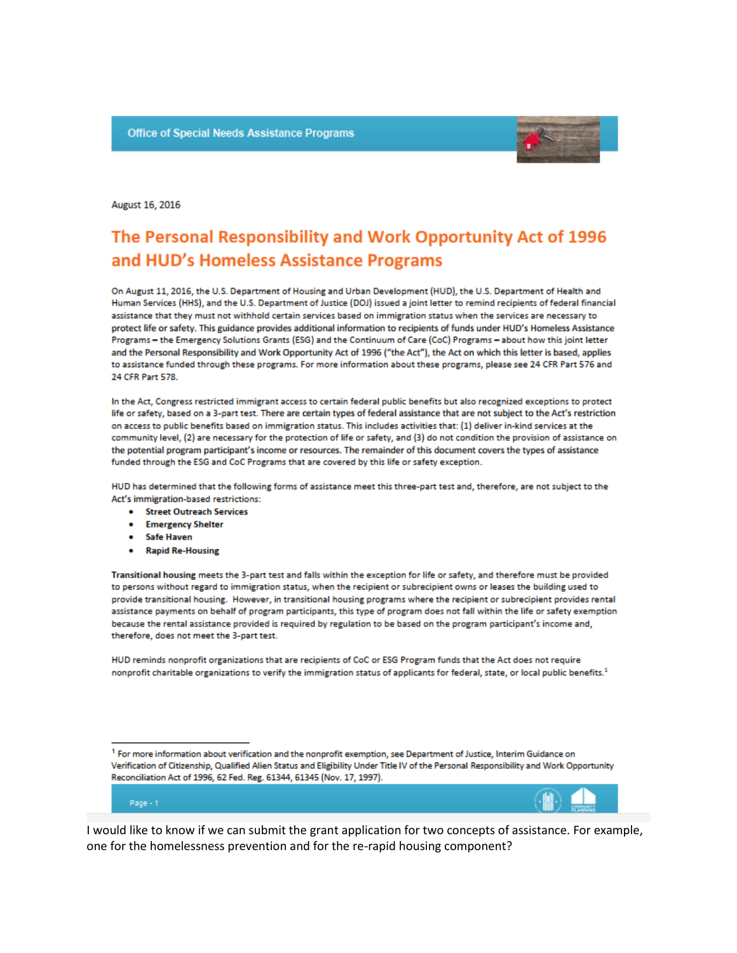

#### August 16, 2016

# The Personal Responsibility and Work Opportunity Act of 1996 and HUD's Homeless Assistance Programs

On August 11, 2016, the U.S. Department of Housing and Urban Development (HUD), the U.S. Department of Health and Human Services (HHS), and the U.S. Department of Justice (DOJ) issued a joint letter to remind recipients of federal financial assistance that they must not withhold certain services based on immigration status when the services are necessary to protect life or safety. This guidance provides additional information to recipients of funds under HUD's Homeless Assistance Programs - the Emergency Solutions Grants (ESG) and the Continuum of Care (CoC) Programs - about how this joint letter and the Personal Responsibility and Work Opportunity Act of 1996 ("the Act"), the Act on which this letter is based, applies to assistance funded through these programs. For more information about these programs, please see 24 CFR Part 576 and 24 CFR Part 578.

In the Act, Congress restricted immigrant access to certain federal public benefits but also recognized exceptions to protect life or safety, based on a 3-part test. There are certain types of federal assistance that are not subject to the Act's restriction on access to public benefits based on immigration status. This includes activities that: (1) deliver in-kind services at the community level, (2) are necessary for the protection of life or safety, and (3) do not condition the provision of assistance on the potential program participant's income or resources. The remainder of this document covers the types of assistance funded through the ESG and CoC Programs that are covered by this life or safety exception.

HUD has determined that the following forms of assistance meet this three-part test and, therefore, are not subject to the Act's immigration-based restrictions:

- Street Outreach Services
- **Emergency Shelter**
- **Safe Haven**
- **Rapid Re-Housing**

Transitional housing meets the 3-part test and falls within the exception for life or safety, and therefore must be provided to persons without regard to immigration status, when the recipient or subrecipient owns or leases the building used to provide transitional housing. However, in transitional housing programs where the recipient or subrecipient provides rental assistance payments on behalf of program participants, this type of program does not fall within the life or safety exemption because the rental assistance provided is required by regulation to be based on the program participant's income and, therefore, does not meet the 3-part test.

HUD reminds nonprofit organizations that are recipients of CoC or ESG Program funds that the Act does not require nonprofit charitable organizations to verify the immigration status of applicants for federal, state, or local public benefits.<sup>1</sup>

#### Page - 1

I would like to know if we can submit the grant application for two concepts of assistance. For example, one for the homelessness prevention and for the re-rapid housing component?

<sup>&</sup>lt;sup>1</sup> For more information about verification and the nonprofit exemption, see Department of Justice, Interim Guidance on Verification of Citizenship, Qualified Alien Status and Eligibility Under Title IV of the Personal Responsibility and Work Opportunity Reconciliation Act of 1996, 62 Fed. Reg. 61344, 61345 (Nov. 17, 1997).